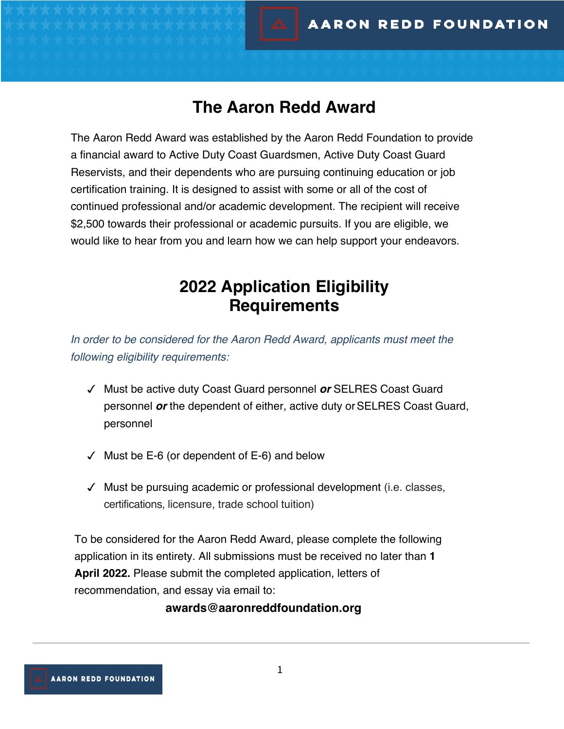### **The Aaron Redd Award**

The Aaron Redd Award was established by the Aaron Redd Foundation to provide a financial award to Active Duty Coast Guardsmen, Active Duty Coast Guard Reservists, and their dependents who are pursuing continuing education or job certification training. It is designed to assist with some or all of the cost of continued professional and/or academic development. The recipient will receive \$2,500 towards their professional or academic pursuits. If you are eligible, we would like to hear from you and learn how we can help support your endeavors.

## **2022 Application Eligibility Requirements**

*In order to be considered for the Aaron Redd Award, applicants must meet the following eligibility requirements:* 

- ✓ Must be active duty Coast Guard personnel *or* SELRES Coast Guard personnel *or* the dependent of either, active duty or SELRES Coast Guard, personnel
- $\checkmark$  Must be E-6 (or dependent of E-6) and below
- ✓ Must be pursuing academic or professional development (i.e. classes, certifications, licensure, trade school tuition)

To be considered for the Aaron Redd Award, please complete the following application in its entirety. All submissions must be received no later than **1 April 2022.** Please submit the completed application, letters of recommendation, and essay via email to:

**awards@aaronreddfoundation.org**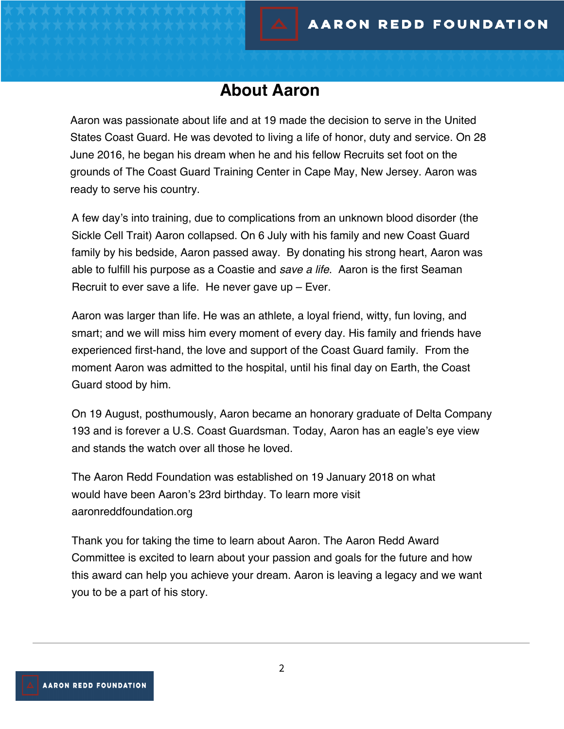### **About Aaron**

Aaron was passionate about life and at 19 made the decision to serve in the United States Coast Guard. He was devoted to living a life of honor, duty and service. On 28 June 2016, he began his dream when he and his fellow Recruits set foot on the grounds of The Coast Guard Training Center in Cape May, New Jersey. Aaron was ready to serve his country.

A few day's into training, due to complications from an unknown blood disorder (the Sickle Cell Trait) Aaron collapsed. On 6 July with his family and new Coast Guard family by his bedside, Aaron passed away. By donating his strong heart, Aaron was able to fulfill his purpose as a Coastie and *save a life*. Aaron is the first Seaman Recruit to ever save a life. He never gave up – Ever.

Aaron was larger than life. He was an athlete, a loyal friend, witty, fun loving, and smart; and we will miss him every moment of every day. His family and friends have experienced first-hand, the love and support of the Coast Guard family. From the moment Aaron was admitted to the hospital, until his final day on Earth, the Coast Guard stood by him.

On 19 August, posthumously, Aaron became an honorary graduate of Delta Company 193 and is forever a U.S. Coast Guardsman. Today, Aaron has an eagle's eye view and stands the watch over all those he loved.

The Aaron Redd Foundation was established on 19 January 2018 on what would have been Aaron's 23rd birthday. To learn more visit aaronreddfoundation.org

Thank you for taking the time to learn about Aaron. The Aaron Redd Award Committee is excited to learn about your passion and goals for the future and how this award can help you achieve your dream. Aaron is leaving a legacy and we want you to be a part of his story.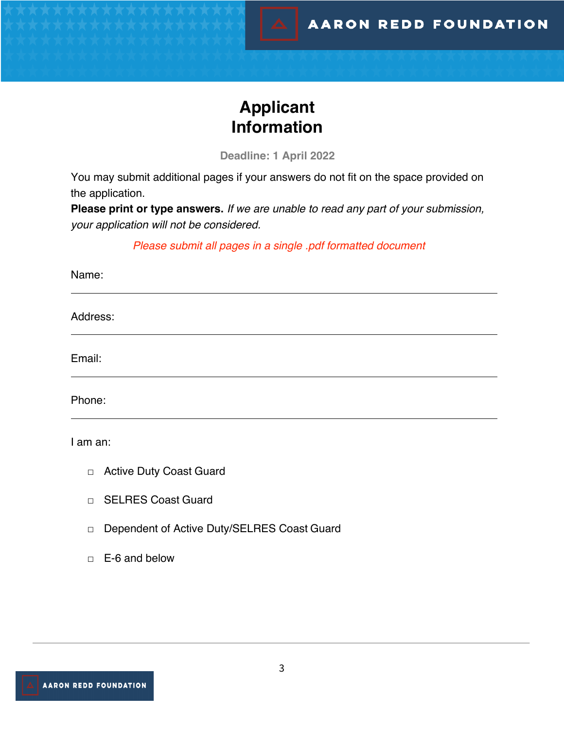# **Applicant Information**

**Deadline: 1 April 2022**

You may submit additional pages if your answers do not fit on the space provided on the application.

**Please print or type answers.** *If we are unable to read any part of your submission, your application will not be considered.* 

*Please submit all pages in a single .pdf formatted document*

Name:

Address:

Email:

Phone:

I am an:

- □ Active Duty Coast Guard
- □ SELRES Coast Guard
- □ Dependent of Active Duty/SELRES Coast Guard
- □ E-6 and below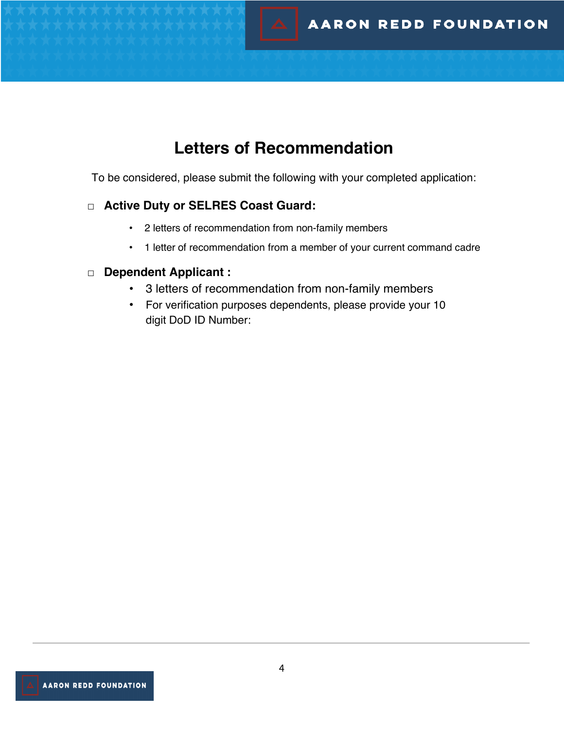# **Letters of Recommendation**

To be considered, please submit the following with your completed application:

#### □ **Active Duty or SELRES Coast Guard:**

- 2 letters of recommendation from non-family members
- 1 letter of recommendation from a member of your current command cadre

#### □ **Dependent Applicant :**

- 3 letters of recommendation from non-family members
- For verification purposes dependents, please provide your 10 digit DoD ID Number: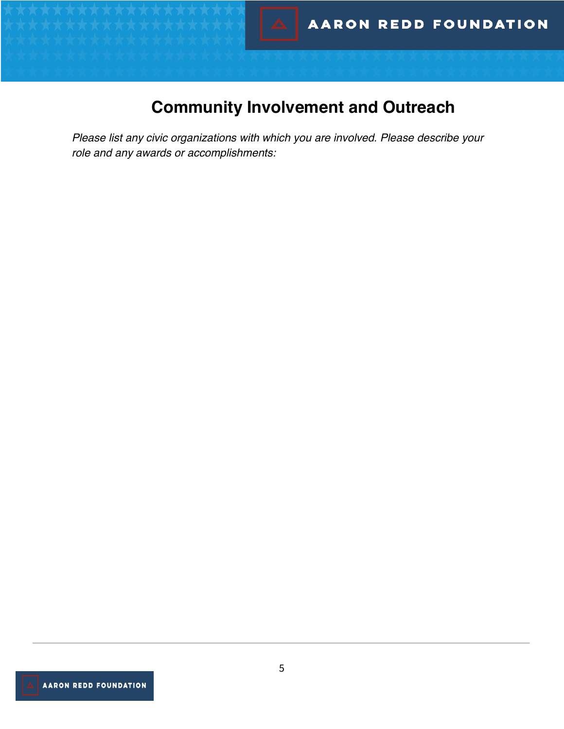# **Community Involvement and Outreach**

*Please list any civic organizations with which you are involved. Please describe your role and any awards or accomplishments:*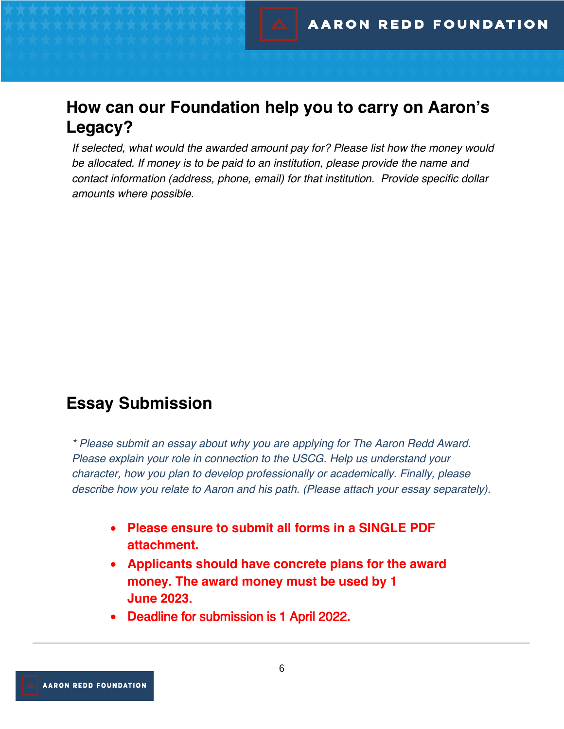## **How can our Foundation help you to carry on Aaron's Legacy?**

*If selected, what would the awarded amount pay for? Please list how the money would be allocated. If money is to be paid to an institution, please provide the name and contact information (address, phone, email) for that institution. Provide specific dollar amounts where possible.*

## **Essay Submission**

*\* Please submit an essay about why you are applying for The Aaron Redd Award. Please explain your role in connection to the USCG. Help us understand your character, how you plan to develop professionally or academically. Finally, please describe how you relate to Aaron and his path. (Please attach your essay separately).*

- **Please ensure to submit all forms in a SINGLE PDF attachment.**
- **Applicants should have concrete plans for the award money. The award money must be used by 1 June 2023.**
- **D**eadline for submission is 1 April 2022.